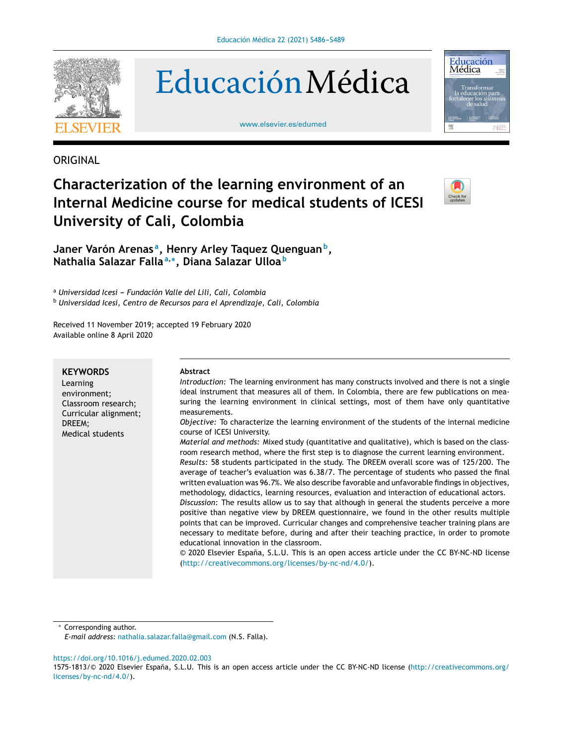

EducaciónMédica

[www.elsevier.es/edumed](http://www.elsevier.es/edumed)



## ORIGINAL

# **Characterization of the learning environment of an Internal Medicine course for medical students of ICESI University of Cali, Colombia**



**Janer Varón Arenas <sup>a</sup> , Henry Arley Taquez Quenguan<sup>b</sup> , Nathalia Salazar Falla<sup>a</sup>**,<sup>∗</sup> **, Diana Salazar Ulloa <sup>b</sup>**

<sup>a</sup> *Universidad Icesi --- Fundación Valle del Lili, Cali, Colombia* <sup>b</sup> *Universidad Icesi, Centro de Recursos para el Aprendizaje, Cali, Colombia*

Received 11 November 2019; accepted 19 February 2020 Available online 8 April 2020

| <b>KEYWORDS</b><br>Learning<br>environment;<br>Classroom research;<br>Curricular alignment;<br>DREEM;<br>Medical students | <b>Abstract</b><br>Introduction: The learning environment has many constructs involved and there is not a single<br>ideal instrument that measures all of them. In Colombia, there are few publications on mea-<br>suring the learning environment in clinical settings, most of them have only quantitative<br>measurements.<br><i>Objective:</i> To characterize the learning environment of the students of the internal medicine<br>course of ICESI University.<br>Material and methods: Mixed study (quantitative and qualitative), which is based on the class-<br>room research method, where the first step is to diagnose the current learning environment.<br>Results: 58 students participated in the study. The DREEM overall score was of 125/200. The<br>average of teacher's evaluation was 6.38/7. The percentage of students who passed the final<br>written evaluation was 96.7%. We also describe favorable and unfavorable findings in objectives,<br>methodology, didactics, learning resources, evaluation and interaction of educational actors.<br>Discussion: The results allow us to say that although in general the students perceive a more<br>positive than negative view by DREEM questionnaire, we found in the other results multiple<br>points that can be improved. Curricular changes and comprehensive teacher training plans are<br>necessary to meditate before, during and after their teaching practice, in order to promote |
|---------------------------------------------------------------------------------------------------------------------------|-----------------------------------------------------------------------------------------------------------------------------------------------------------------------------------------------------------------------------------------------------------------------------------------------------------------------------------------------------------------------------------------------------------------------------------------------------------------------------------------------------------------------------------------------------------------------------------------------------------------------------------------------------------------------------------------------------------------------------------------------------------------------------------------------------------------------------------------------------------------------------------------------------------------------------------------------------------------------------------------------------------------------------------------------------------------------------------------------------------------------------------------------------------------------------------------------------------------------------------------------------------------------------------------------------------------------------------------------------------------------------------------------------------------------------------------------------------------------|
|                                                                                                                           | educational innovation in the classroom.<br>© 2020 Elsevier España, S.L.U. This is an open access article under the CC BY-NC-ND license<br>(http://creativecommons.org/licenses/by-nc-nd/4.0/).                                                                                                                                                                                                                                                                                                                                                                                                                                                                                                                                                                                                                                                                                                                                                                                                                                                                                                                                                                                                                                                                                                                                                                                                                                                                       |

Corresponding author.

*E-mail address:* [nathalia.salazar.falla@gmail.com](mailto:nathalia.salazar.falla@gmail.com) (N.S. Falla).

<https://doi.org/10.1016/j.edumed.2020.02.003>

<sup>1575-1813/© 2020</sup> Elsevier España, S.L.U. This is an open access article under the CC BY-NC-ND license [\(http://creativecommons.org/](http://creativecommons.org/licenses/by-nc-nd/4.0/) [licenses/by-nc-nd/4.0/\)](http://creativecommons.org/licenses/by-nc-nd/4.0/).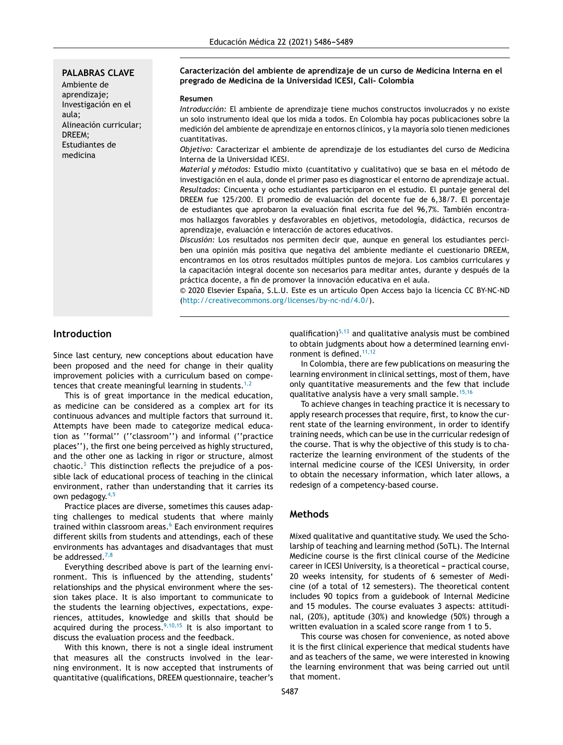#### **PALABRAS CLAVE**

Ambiente de aprendizaje; Investigación en el aula; Alineación curricular; DREEM; Estudiantes de medicina

#### **Caracterización del ambiente de aprendizaje de un curso de Medicina Interna en el pregrado de Medicina de la Universidad ICESI, Cali- Colombia**

#### **Resumen**

*Introducción:* El ambiente de aprendizaje tiene muchos constructos involucrados y no existe un solo instrumento ideal que los mida a todos. En Colombia hay pocas publicaciones sobre la medición del ambiente de aprendizaje en entornos clínicos, y la mayoría solo tienen mediciones cuantitativas.

*Objetivo:* Caracterizar el ambiente de aprendizaje de los estudiantes del curso de Medicina Interna de la Universidad ICESI.

*Material y métodos:* Estudio mixto (cuantitativo y cualitativo) que se basa en el método de investigación en el aula, donde el primer paso es diagnosticar el entorno de aprendizaje actual. *Resultados:* Cincuenta y ocho estudiantes participaron en el estudio. El puntaje general del DREEM fue 125/200. El promedio de evaluación del docente fue de 6,38/7. El porcentaje de estudiantes que aprobaron la evaluación final escrita fue del 96,7%. También encontramos hallazgos favorables y desfavorables en objetivos, metodología, didáctica, recursos de aprendizaje, evaluación e interacción de actores educativos.

*Discusión:* Los resultados nos permiten decir que, aunque en general los estudiantes perciben una opinión más positiva que negativa del ambiente mediante el cuestionario DREEM, encontramos en los otros resultados múltiples puntos de mejora. Los cambios curriculares y la capacitación integral docente son necesarios para meditar antes, durante y después de la práctica docente, a fin de promover la innovación educativa en el aula.

© 2020 Elsevier España, S.L.U. Este es un artículo Open Access bajo la licencia CC BY-NC-ND [\(http://creativecommons.org/licenses/by-nc-nd/4.0/\)](http://creativecommons.org/licenses/by-nc-nd/4.0/).

#### **Introduction**

Since last century, new conceptions about education have been proposed and the need for change in their quality improvement policies with a curriculum based on compe-tences that create meaningful learning in students.<sup>[1,2](#page-3-0)</sup>

This is of great importance in the medical education, as medicine can be considered as a complex art for its continuous advances and multiple factors that surround it. Attempts have been made to categorize medical education as ''formal'' (''classroom'') and informal (''practice places''), the first one being perceived as highly structured, and the other one as lacking in rigor or structure, almost chaotic. $3$  This distinction reflects the prejudice of a possible lack of educational process of teaching in the clinical environment, rather than understanding that it carries its own pedagogy.[4,5](#page-3-0)

Practice places are diverse, sometimes this causes adapting challenges to medical students that where mainly trained within classroom areas.<sup>6</sup> [E](#page-3-0)ach environment requires different skills from students and attendings, each of these environments has advantages and disadvantages that must be addressed.<sup>[7,8](#page-3-0)</sup>

Everything described above is part of the learning environment. This is influenced by the attending, students' relationships and the physical environment where the session takes place. It is also important to communicate to the students the learning objectives, expectations, experiences, attitudes, knowledge and skills that should be acquired during the process.  $9,10,15$  It is also important to discuss the evaluation process and the feedback.

With this known, there is not a single ideal instrument that measures all the constructs involved in the learning environment. It is now accepted that instruments of quantitative (qualifications, DREEM questionnaire, teacher's qualification) $5,13$  and qualitative analysis must be combined to obtain judgments about how a determined learning envi-ronment is defined.<sup>[11,12](#page-3-0)</sup>

In Colombia, there are few publications on measuring the learning environment in clinical settings, most of them, have only quantitative measurements and the few that include qualitative analysis have a very small sample.<sup>[15,16](#page-3-0)</sup>

To achieve changes in teaching practice it is necessary to apply research processes that require, first, to know the current state of the learning environment, in order to identify training needs, which can be use in the curricular redesign of the course. That is why the objective of this study is to characterize the learning environment of the students of the internal medicine course of the ICESI University, in order to obtain the necessary information, which later allows, a redesign of a competency-based course.

### **Methods**

Mixed qualitative and quantitative study. We used the Scholarship of teaching and learning method (SoTL). The Internal Medicine course is the first clinical course of the Medicine career in ICESI University, is a theoretical - practical course, 20 weeks intensity, for students of 6 semester of Medicine (of a total of 12 semesters). The theoretical content includes 90 topics from a guidebook of Internal Medicine and 15 modules. The course evaluates 3 aspects: attitudinal, (20%), aptitude (30%) and knowledge (50%) through a written evaluation in a scaled score range from 1 to 5.

This course was chosen for convenience, as noted above it is the first clinical experience that medical students have and as teachers of the same, we were interested in knowing the learning environment that was being carried out until that moment.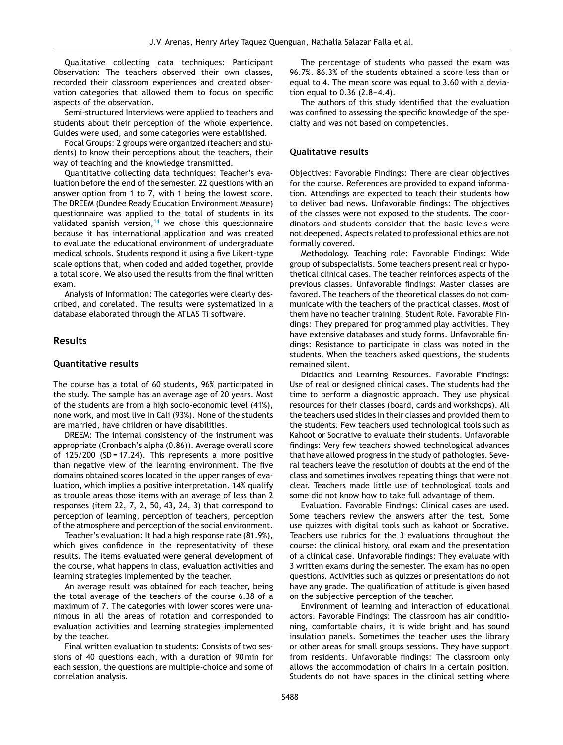Qualitative collecting data techniques: Participant Observation: The teachers observed their own classes, recorded their classroom experiences and created observation categories that allowed them to focus on specific aspects of the observation.

Semi-structured Interviews were applied to teachers and students about their perception of the whole experience. Guides were used, and some categories were established.

Focal Groups: 2 groups were organized (teachers and students) to know their perceptions about the teachers, their way of teaching and the knowledge transmitted.

Quantitative collecting data techniques: Teacher's evaluation before the end of the semester. 22 questions with an answer option from 1 to 7, with 1 being the lowest score. The DREEM (Dundee Ready Education Environment Measure) questionnaire was applied to the total of students in its validated spanish version,<sup>[14](#page-3-0)</sup> we chose this questionnaire because it has international application and was created to evaluate the educational environment of undergraduate medical schools. Students respond it using a five Likert-type scale options that, when coded and added together, provide a total score. We also used the results from the final written exam.

Analysis of Information: The categories were clearly described, and corelated. The results were systematized in a database elaborated through the ATLAS Ti software.

## **Results**

#### **Quantitative results**

The course has a total of 60 students, 96% participated in the study. The sample has an average age of 20 years. Most of the students are from a high socio-economic level (41%), none work, and most live in Cali (93%). None of the students are married, have children or have disabilities.

DREEM: The internal consistency of the instrument was appropriate (Cronbach's alpha (0.86)). Average overall score of  $125/200$  (SD = 17.24). This represents a more positive than negative view of the learning environment. The five domains obtained scores located in the upper ranges of evaluation, which implies a positive interpretation. 14% qualify as trouble areas those items with an average of less than 2 responses (item 22, 7, 2, 50, 43, 24, 3) that correspond to perception of learning, perception of teachers, perception of the atmosphere and perception of the social environment.

Teacher's evaluation: It had a high response rate (81.9%), which gives confidence in the representativity of these results. The items evaluated were general development of the course, what happens in class, evaluation activities and learning strategies implemented by the teacher.

An average result was obtained for each teacher, being the total average of the teachers of the course 6.38 of a maximum of 7. The categories with lower scores were unanimous in all the areas of rotation and corresponded to evaluation activities and learning strategies implemented by the teacher.

Final written evaluation to students: Consists of two sessions of 40 questions each, with a duration of 90 min for each session, the questions are multiple-choice and some of correlation analysis.

The percentage of students who passed the exam was 96.7%. 86.3% of the students obtained a score less than or equal to 4. The mean score was equal to 3.60 with a deviation equal to  $0.36$   $(2.8-4.4)$ .

The authors of this study identified that the evaluation was confined to assessing the specific knowledge of the specialty and was not based on competencies.

#### **Qualitative results**

Objectives: Favorable Findings: There are clear objectives for the course. References are provided to expand information. Attendings are expected to teach their students how to deliver bad news. Unfavorable findings: The objectives of the classes were not exposed to the students. The coordinators and students consider that the basic levels were not deepened. Aspects related to professional ethics are not formally covered.

Methodology. Teaching role: Favorable Findings: Wide group of subspecialists. Some teachers present real or hypothetical clinical cases. The teacher reinforces aspects of the previous classes. Unfavorable findings: Master classes are favored. The teachers of the theoretical classes do not communicate with the teachers of the practical classes. Most of them have no teacher training. Student Role. Favorable Findings: They prepared for programmed play activities. They have extensive databases and study forms. Unfavorable findings: Resistance to participate in class was noted in the students. When the teachers asked questions, the students remained silent.

Didactics and Learning Resources. Favorable Findings: Use of real or designed clinical cases. The students had the time to perform a diagnostic approach. They use physical resources for their classes (board, cards and workshops). All the teachers used slides in their classes and provided them to the students. Few teachers used technological tools such as Kahoot or Socrative to evaluate their students. Unfavorable findings: Very few teachers showed technological advances that have allowed progress in the study of pathologies. Several teachers leave the resolution of doubts at the end of the class and sometimes involves repeating things that were not clear. Teachers made little use of technological tools and some did not know how to take full advantage of them.

Evaluation. Favorable Findings: Clinical cases are used. Some teachers review the answers after the test. Some use quizzes with digital tools such as kahoot or Socrative. Teachers use rubrics for the 3 evaluations throughout the course: the clinical history, oral exam and the presentation of a clinical case. Unfavorable findings: They evaluate with 3 written exams during the semester. The exam has no open questions. Activities such as quizzes or presentations do not have any grade. The qualification of attitude is given based on the subjective perception of the teacher.

Environment of learning and interaction of educational actors. Favorable Findings: The classroom has air conditioning, comfortable chairs, it is wide bright and has sound insulation panels. Sometimes the teacher uses the library or other areas for small groups sessions. They have support from residents. Unfavorable findings: The classroom only allows the accommodation of chairs in a certain position. Students do not have spaces in the clinical setting where